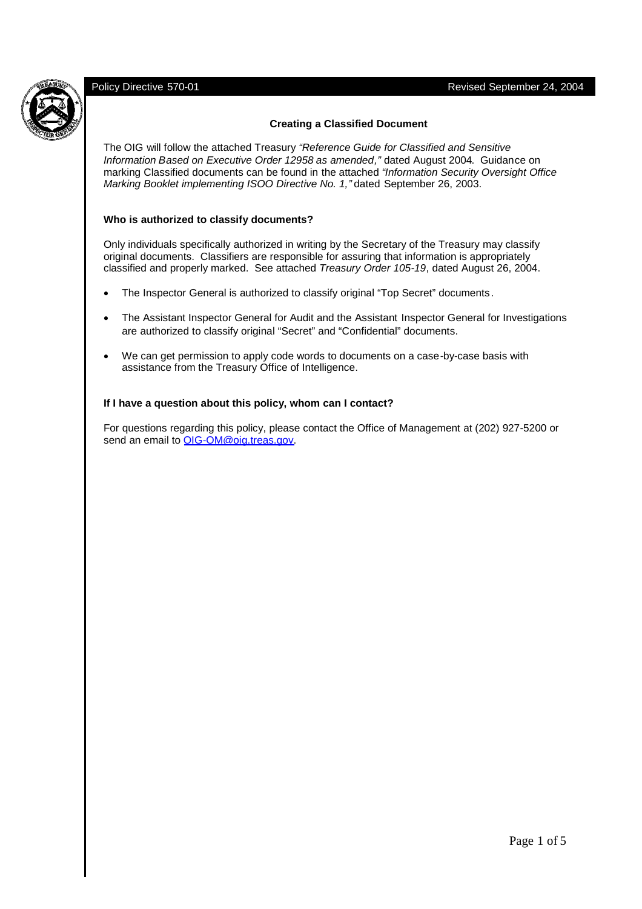

### **Creating a Classified Document**

The OIG will follow the attached Treasury *"Reference Guide for Classified and Sensitive Information Based on Executive Order 12958 as amended,"* dated August 2004. Guidance on marking Classified documents can be found in the attached *"Information Security Oversight Office Marking Booklet implementing ISOO Directive No. 1,"* dated September 26, 2003.

### **Who is authorized to classify documents?**

Only individuals specifically authorized in writing by the Secretary of the Treasury may classify original documents. Classifiers are responsible for assuring that information is appropriately classified and properly marked. See attached *Treasury Order 105-19*, dated August 26, 2004.

- The Inspector General is authorized to classify original "Top Secret" documents.
- The Assistant Inspector General for Audit and the Assistant Inspector General for Investigations are authorized to classify original "Secret" and "Confidential" documents.
- We can get permission to apply code words to documents on a case-by-case basis with assistance from the Treasury Office of Intelligence.

#### **If I have a question about this policy, whom can I contact?**

For questions regarding this policy, please contact the Office of Management at (202) 927-5200 or send an email to OIG-OM@oig.treas.gov.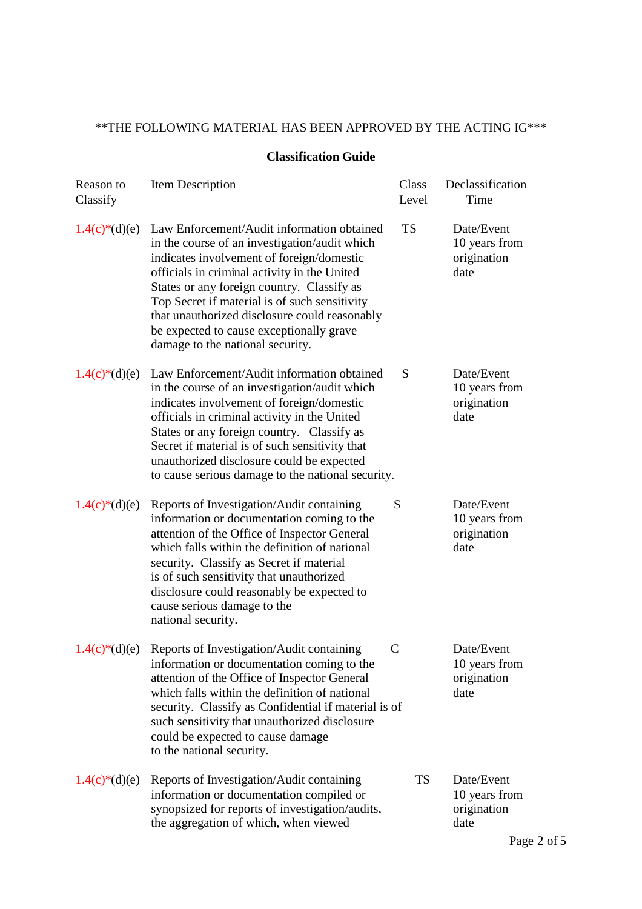# \*\*THE FOLLOWING MATERIAL HAS BEEN APPROVED BY THE ACTING IG\*\*\*

| Reason to<br>Classify | Item Description                                                                                                                                                                                                                                                                                                                                                                                                         | Class<br>Level | Declassification<br>Time                           |
|-----------------------|--------------------------------------------------------------------------------------------------------------------------------------------------------------------------------------------------------------------------------------------------------------------------------------------------------------------------------------------------------------------------------------------------------------------------|----------------|----------------------------------------------------|
| $1.4(c)*(d)(e)$       | Law Enforcement/Audit information obtained<br>in the course of an investigation/audit which<br>indicates involvement of foreign/domestic<br>officials in criminal activity in the United<br>States or any foreign country. Classify as<br>Top Secret if material is of such sensitivity<br>that unauthorized disclosure could reasonably<br>be expected to cause exceptionally grave<br>damage to the national security. | <b>TS</b>      | Date/Event<br>10 years from<br>origination<br>date |
| $1.4(c)*(d)(e)$       | Law Enforcement/Audit information obtained<br>in the course of an investigation/audit which<br>indicates involvement of foreign/domestic<br>officials in criminal activity in the United<br>States or any foreign country. Classify as<br>Secret if material is of such sensitivity that<br>unauthorized disclosure could be expected<br>to cause serious damage to the national security.                               | S              | Date/Event<br>10 years from<br>origination<br>date |
| $1.4(c)*(d)(e)$       | Reports of Investigation/Audit containing<br>information or documentation coming to the<br>attention of the Office of Inspector General<br>which falls within the definition of national<br>security. Classify as Secret if material<br>is of such sensitivity that unauthorized<br>disclosure could reasonably be expected to<br>cause serious damage to the<br>national security.                                      | S              | Date/Event<br>10 years from<br>origination<br>date |
| $1.4(c)*(d)(e)$       | Reports of Investigation/Audit containing<br>information or documentation coming to the<br>attention of the Office of Inspector General<br>which falls within the definition of national<br>security. Classify as Confidential if material is of<br>such sensitivity that unauthorized disclosure<br>could be expected to cause damage<br>to the national security.                                                      | $\mathcal{C}$  | Date/Event<br>10 years from<br>origination<br>date |
| $1.4(c)*(d)(e)$       | Reports of Investigation/Audit containing<br>information or documentation compiled or<br>synopsized for reports of investigation/audits,<br>the aggregation of which, when viewed                                                                                                                                                                                                                                        | <b>TS</b>      | Date/Event<br>10 years from<br>origination<br>date |

# **Classification Guide**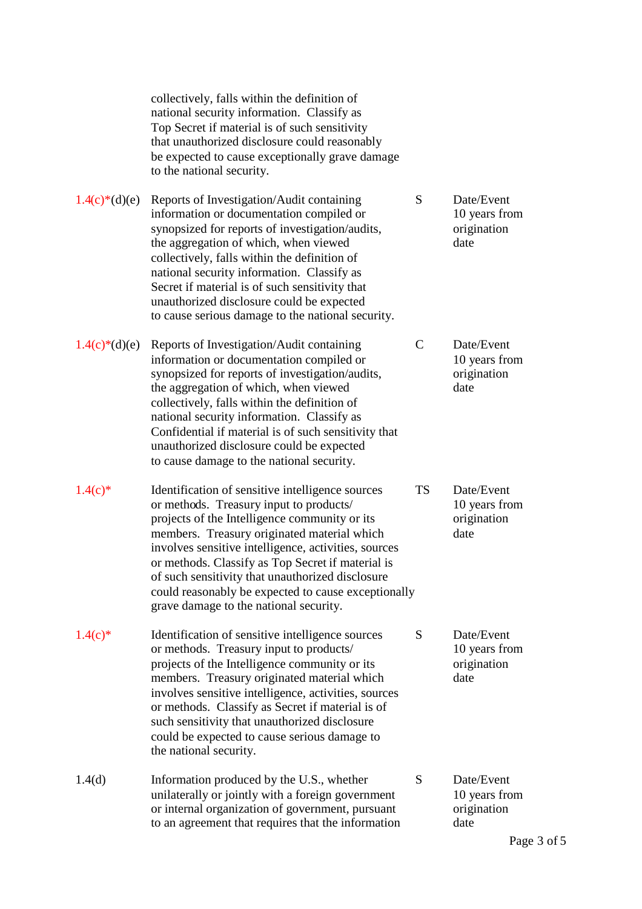collectively, falls within the definition of national security information. Classify as Top Secret if material is of such sensitivity that unauthorized disclosure could reasonably be expected to cause exceptionally grave damage to the national security.

- $1.4(c)*(d)(e)$  Reports of Investigation/Audit containing S Date/Event information or documentation compiled or 10 years from synopsized for reports of investigation/audits, origination the aggregation of which, when viewed date collectively, falls within the definition of national security information. Classify as Secret if material is of such sensitivity that unauthorized disclosure could be expected to cause serious damage to the national security.
- $1.4(c)*(d)(e)$  Reports of Investigation/Audit containing C Date/Event information or documentation compiled or 10 years from synopsized for reports of investigation/audits, origination the aggregation of which, when viewed date collectively, falls within the definition of national security information. Classify as Confidential if material is of such sensitivity that unauthorized disclosure could be expected to cause damage to the national security.
- 1.4(c)\* Identification of sensitive intelligence sources TS Date/Event or methods. Treasury input to products/ 10 years from projects of the Intelligence community or its origination members. Treasury originated material which date involves sensitive intelligence, activities, sources or methods. Classify as Top Secret if material is of such sensitivity that unauthorized disclosure could reasonably be expected to cause exceptionally grave damage to the national security.
- $1.4(c)$ <sup>\*</sup> Identification of sensitive intelligence sources S Date/Event or methods. Treasury input to products/ 10 years from projects of the Intelligence community or its origination members. Treasury originated material which date involves sensitive intelligence, activities, sources or methods. Classify as Secret if material is of such sensitivity that unauthorized disclosure could be expected to cause serious damage to the national security.
- 1.4(d) Information produced by the U.S., whether S Date/Event unilaterally or jointly with a foreign government 10 years from or internal organization of government, pursuant origination to an agreement that requires that the information date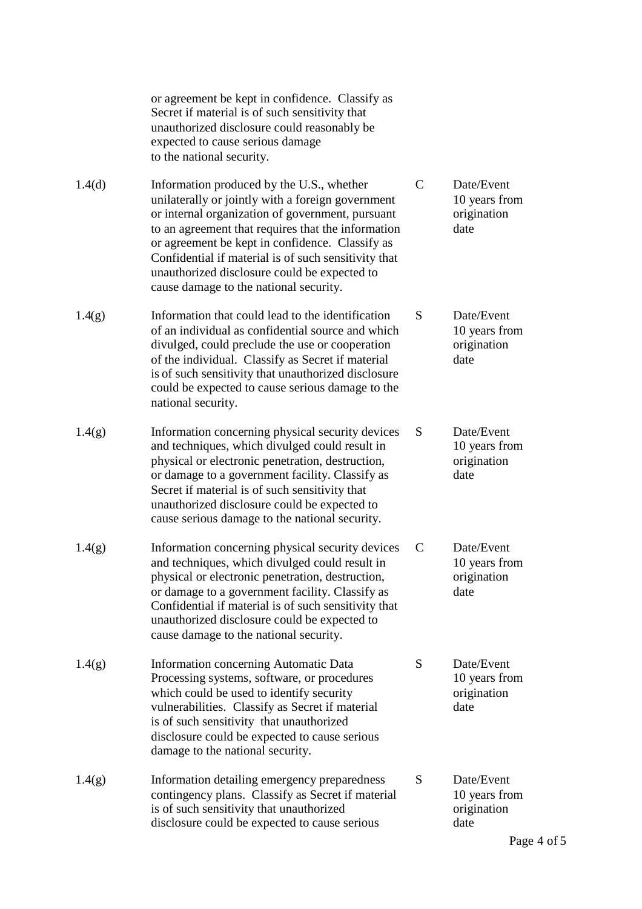or agreement be kept in confidence. Classify as Secret if material is of such sensitivity that unauthorized disclosure could reasonably be expected to cause serious damage to the national security.

1.4(d) Information produced by the U.S., whether C Date/Event unilaterally or jointly with a foreign government 10 years from or internal organization of government, pursuant origination to an agreement that requires that the information date or agreement be kept in confidence. Classify as Confidential if material is of such sensitivity that unauthorized disclosure could be expected to cause damage to the national security.

- 1.4(g) Information that could lead to the identification S Date/Event of an individual as confidential source and which 10 years from divulged, could preclude the use or cooperation origination of the individual. Classify as Secret if material date is of such sensitivity that unauthorized disclosure could be expected to cause serious damage to the national security.
- 1.4(g) Information concerning physical security devices S Date/Event and techniques, which divulged could result in 10 years from physical or electronic penetration, destruction, origination or damage to a government facility. Classify as date Secret if material is of such sensitivity that unauthorized disclosure could be expected to cause serious damage to the national security.
- 1.4(g) Information concerning physical security devices C Date/Event and techniques, which divulged could result in 10 years from physical or electronic penetration, destruction, origination or damage to a government facility. Classify as date Confidential if material is of such sensitivity that unauthorized disclosure could be expected to cause damage to the national security.
- 1.4(g) Information concerning Automatic Data S Date/Event Processing systems, software, or procedures 10 years from which could be used to identify security origination vulnerabilities. Classify as Secret if material date is of such sensitivity that unauthorized disclosure could be expected to cause serious damage to the national security.
- 1.4(g) Information detailing emergency preparedness S Date/Event contingency plans. Classify as Secret if material 10 years from is of such sensitivity that unauthorized origination disclosure could be expected to cause serious date

- 
- -